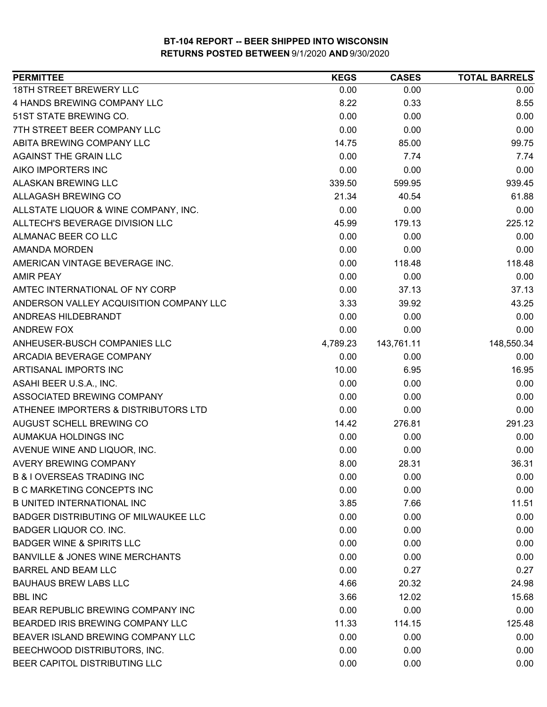| <b>PERMITTEE</b>                            | <b>KEGS</b> | <b>CASES</b> | <b>TOTAL BARRELS</b> |
|---------------------------------------------|-------------|--------------|----------------------|
| 18TH STREET BREWERY LLC                     | 0.00        | 0.00         | 0.00                 |
| 4 HANDS BREWING COMPANY LLC                 | 8.22        | 0.33         | 8.55                 |
| 51ST STATE BREWING CO.                      | 0.00        | 0.00         | 0.00                 |
| 7TH STREET BEER COMPANY LLC                 | 0.00        | 0.00         | 0.00                 |
| ABITA BREWING COMPANY LLC                   | 14.75       | 85.00        | 99.75                |
| AGAINST THE GRAIN LLC                       | 0.00        | 7.74         | 7.74                 |
| AIKO IMPORTERS INC                          | 0.00        | 0.00         | 0.00                 |
| <b>ALASKAN BREWING LLC</b>                  | 339.50      | 599.95       | 939.45               |
| <b>ALLAGASH BREWING CO</b>                  | 21.34       | 40.54        | 61.88                |
| ALLSTATE LIQUOR & WINE COMPANY, INC.        | 0.00        | 0.00         | 0.00                 |
| ALLTECH'S BEVERAGE DIVISION LLC             | 45.99       | 179.13       | 225.12               |
| ALMANAC BEER CO LLC                         | 0.00        | 0.00         | 0.00                 |
| <b>AMANDA MORDEN</b>                        | 0.00        | 0.00         | 0.00                 |
| AMERICAN VINTAGE BEVERAGE INC.              | 0.00        | 118.48       | 118.48               |
| <b>AMIR PEAY</b>                            | 0.00        | 0.00         | 0.00                 |
| AMTEC INTERNATIONAL OF NY CORP              | 0.00        | 37.13        | 37.13                |
| ANDERSON VALLEY ACQUISITION COMPANY LLC     | 3.33        | 39.92        | 43.25                |
| ANDREAS HILDEBRANDT                         | 0.00        | 0.00         | 0.00                 |
| <b>ANDREW FOX</b>                           | 0.00        | 0.00         | 0.00                 |
| ANHEUSER-BUSCH COMPANIES LLC                | 4,789.23    | 143,761.11   | 148,550.34           |
| ARCADIA BEVERAGE COMPANY                    | 0.00        | 0.00         | 0.00                 |
| ARTISANAL IMPORTS INC                       | 10.00       | 6.95         | 16.95                |
| ASAHI BEER U.S.A., INC.                     | 0.00        | 0.00         | 0.00                 |
| ASSOCIATED BREWING COMPANY                  | 0.00        | 0.00         | 0.00                 |
| ATHENEE IMPORTERS & DISTRIBUTORS LTD        | 0.00        | 0.00         | 0.00                 |
| AUGUST SCHELL BREWING CO                    | 14.42       | 276.81       | 291.23               |
| AUMAKUA HOLDINGS INC                        | 0.00        | 0.00         | 0.00                 |
| AVENUE WINE AND LIQUOR, INC.                | 0.00        | 0.00         | 0.00                 |
| <b>AVERY BREWING COMPANY</b>                | 8.00        | 28.31        | 36.31                |
| <b>B &amp; I OVERSEAS TRADING INC</b>       | 0.00        | 0.00         | 0.00                 |
| <b>B C MARKETING CONCEPTS INC</b>           | 0.00        | 0.00         | 0.00                 |
| <b>B UNITED INTERNATIONAL INC</b>           | 3.85        | 7.66         | 11.51                |
| <b>BADGER DISTRIBUTING OF MILWAUKEE LLC</b> | 0.00        | 0.00         | 0.00                 |
| <b>BADGER LIQUOR CO. INC.</b>               | 0.00        | 0.00         | 0.00                 |
| <b>BADGER WINE &amp; SPIRITS LLC</b>        | 0.00        | 0.00         | 0.00                 |
| <b>BANVILLE &amp; JONES WINE MERCHANTS</b>  | 0.00        | 0.00         | 0.00                 |
| <b>BARREL AND BEAM LLC</b>                  | 0.00        | 0.27         | 0.27                 |
| <b>BAUHAUS BREW LABS LLC</b>                | 4.66        | 20.32        | 24.98                |
| <b>BBL INC</b>                              | 3.66        | 12.02        | 15.68                |
| <b>BEAR REPUBLIC BREWING COMPANY INC</b>    | 0.00        | 0.00         | 0.00                 |
| BEARDED IRIS BREWING COMPANY LLC            | 11.33       | 114.15       | 125.48               |
| BEAVER ISLAND BREWING COMPANY LLC           | 0.00        | 0.00         | 0.00                 |
| BEECHWOOD DISTRIBUTORS, INC.                | 0.00        | 0.00         | 0.00                 |
| BEER CAPITOL DISTRIBUTING LLC               | 0.00        | 0.00         | 0.00                 |
|                                             |             |              |                      |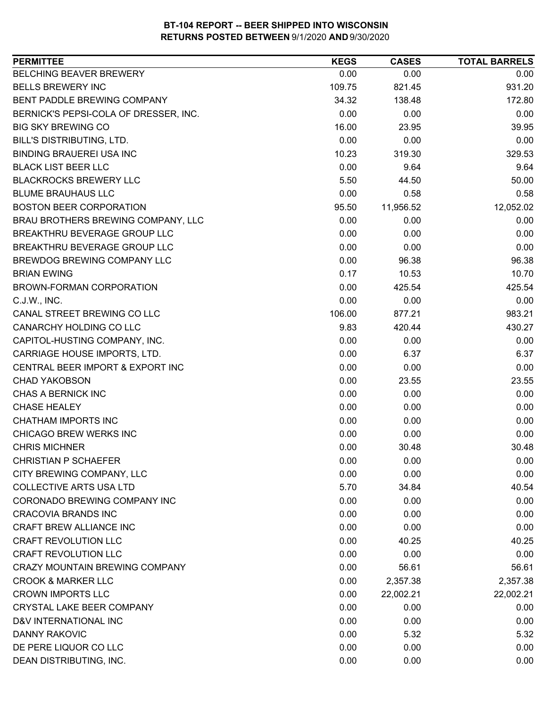| <b>PERMITTEE</b>                      | <b>KEGS</b> | <b>CASES</b> | <b>TOTAL BARRELS</b> |
|---------------------------------------|-------------|--------------|----------------------|
| BELCHING BEAVER BREWERY               | 0.00        | 0.00         | 0.00                 |
| <b>BELLS BREWERY INC</b>              | 109.75      | 821.45       | 931.20               |
| BENT PADDLE BREWING COMPANY           | 34.32       | 138.48       | 172.80               |
| BERNICK'S PEPSI-COLA OF DRESSER, INC. | 0.00        | 0.00         | 0.00                 |
| <b>BIG SKY BREWING CO</b>             | 16.00       | 23.95        | 39.95                |
| <b>BILL'S DISTRIBUTING, LTD.</b>      | 0.00        | 0.00         | 0.00                 |
| <b>BINDING BRAUEREI USA INC</b>       | 10.23       | 319.30       | 329.53               |
| <b>BLACK LIST BEER LLC</b>            | 0.00        | 9.64         | 9.64                 |
| <b>BLACKROCKS BREWERY LLC</b>         | 5.50        | 44.50        | 50.00                |
| <b>BLUME BRAUHAUS LLC</b>             | 0.00        | 0.58         | 0.58                 |
| <b>BOSTON BEER CORPORATION</b>        | 95.50       | 11,956.52    | 12,052.02            |
| BRAU BROTHERS BREWING COMPANY, LLC    | 0.00        | 0.00         | 0.00                 |
| BREAKTHRU BEVERAGE GROUP LLC          | 0.00        | 0.00         | 0.00                 |
| BREAKTHRU BEVERAGE GROUP LLC          | 0.00        | 0.00         | 0.00                 |
| BREWDOG BREWING COMPANY LLC           | 0.00        | 96.38        | 96.38                |
| <b>BRIAN EWING</b>                    | 0.17        | 10.53        | 10.70                |
| BROWN-FORMAN CORPORATION              | 0.00        | 425.54       | 425.54               |
| C.J.W., INC.                          | 0.00        | 0.00         | 0.00                 |
| CANAL STREET BREWING CO LLC           | 106.00      | 877.21       | 983.21               |
| CANARCHY HOLDING CO LLC               | 9.83        | 420.44       | 430.27               |
| CAPITOL-HUSTING COMPANY, INC.         | 0.00        | 0.00         | 0.00                 |
| CARRIAGE HOUSE IMPORTS, LTD.          | 0.00        | 6.37         | 6.37                 |
| CENTRAL BEER IMPORT & EXPORT INC      | 0.00        | 0.00         | 0.00                 |
| <b>CHAD YAKOBSON</b>                  | 0.00        | 23.55        | 23.55                |
| CHAS A BERNICK INC                    | 0.00        | 0.00         | 0.00                 |
| <b>CHASE HEALEY</b>                   | 0.00        | 0.00         | 0.00                 |
| <b>CHATHAM IMPORTS INC</b>            | 0.00        | 0.00         | 0.00                 |
| CHICAGO BREW WERKS INC                | 0.00        | 0.00         | 0.00                 |
| <b>CHRIS MICHNER</b>                  | 0.00        | 30.48        | 30.48                |
| <b>CHRISTIAN P SCHAEFER</b>           | 0.00        | 0.00         | 0.00                 |
| CITY BREWING COMPANY, LLC             | 0.00        | 0.00         | 0.00                 |
| <b>COLLECTIVE ARTS USA LTD</b>        | 5.70        | 34.84        | 40.54                |
| CORONADO BREWING COMPANY INC          | 0.00        | 0.00         | 0.00                 |
| <b>CRACOVIA BRANDS INC</b>            | 0.00        | 0.00         | 0.00                 |
| CRAFT BREW ALLIANCE INC               | 0.00        | 0.00         | 0.00                 |
| <b>CRAFT REVOLUTION LLC</b>           | 0.00        | 40.25        | 40.25                |
| <b>CRAFT REVOLUTION LLC</b>           | 0.00        | 0.00         | 0.00                 |
| <b>CRAZY MOUNTAIN BREWING COMPANY</b> | 0.00        | 56.61        | 56.61                |
| <b>CROOK &amp; MARKER LLC</b>         | 0.00        | 2,357.38     | 2,357.38             |
| <b>CROWN IMPORTS LLC</b>              | 0.00        | 22,002.21    | 22,002.21            |
| CRYSTAL LAKE BEER COMPANY             | 0.00        | 0.00         | 0.00                 |
| D&V INTERNATIONAL INC                 | 0.00        | 0.00         | 0.00                 |
| DANNY RAKOVIC                         | 0.00        | 5.32         | 5.32                 |
| DE PERE LIQUOR CO LLC                 | 0.00        | 0.00         | 0.00                 |
| DEAN DISTRIBUTING, INC.               | 0.00        | 0.00         | 0.00                 |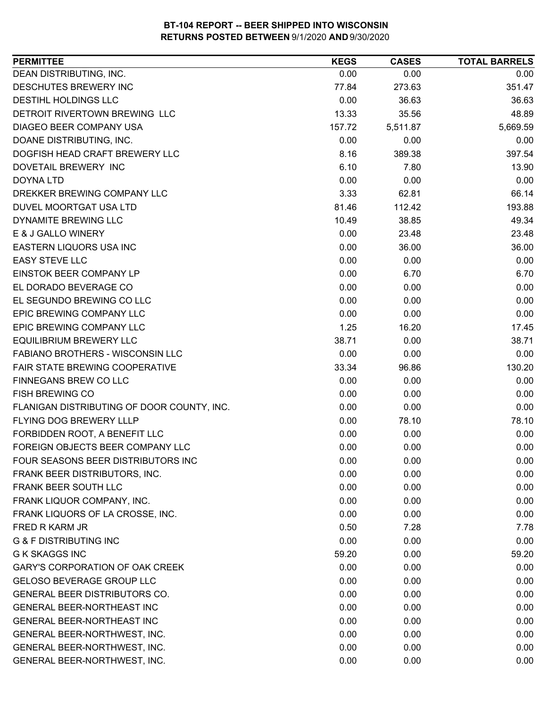| DEAN DISTRIBUTING, INC.<br>0.00<br>0.00<br>0.00<br>DESCHUTES BREWERY INC<br>77.84<br>273.63<br>351.47<br><b>DESTIHL HOLDINGS LLC</b><br>0.00<br>36.63<br>36.63<br>DETROIT RIVERTOWN BREWING LLC<br>13.33<br>48.89<br>35.56<br>DIAGEO BEER COMPANY USA<br>5,511.87<br>5,669.59<br>157.72<br>DOANE DISTRIBUTING, INC.<br>0.00<br>0.00<br>0.00<br>8.16<br>389.38<br>397.54<br>DOGFISH HEAD CRAFT BREWERY LLC<br>6.10<br>DOVETAIL BREWERY INC<br>7.80<br>13.90<br>0.00<br>0.00<br>0.00<br><b>DOYNA LTD</b><br>DREKKER BREWING COMPANY LLC<br>3.33<br>66.14<br>62.81<br>DUVEL MOORTGAT USA LTD<br>193.88<br>81.46<br>112.42<br>DYNAMITE BREWING LLC<br>10.49<br>49.34<br>38.85<br>E & J GALLO WINERY<br>0.00<br>23.48<br>23.48<br>EASTERN LIQUORS USA INC<br>0.00<br>36.00<br>36.00<br><b>EASY STEVE LLC</b><br>0.00<br>0.00<br>0.00<br>0.00<br>EINSTOK BEER COMPANY LP<br>6.70<br>6.70<br>0.00<br>EL DORADO BEVERAGE CO<br>0.00<br>0.00<br>EL SEGUNDO BREWING CO LLC<br>0.00<br>0.00<br>0.00<br>EPIC BREWING COMPANY LLC<br>0.00<br>0.00<br>0.00<br>EPIC BREWING COMPANY LLC<br>1.25<br>16.20<br>17.45<br>38.71<br><b>EQUILIBRIUM BREWERY LLC</b><br>38.71<br>0.00<br>FABIANO BROTHERS - WISCONSIN LLC<br>0.00<br>0.00<br>0.00<br><b>FAIR STATE BREWING COOPERATIVE</b><br>96.86<br>130.20<br>33.34<br>FINNEGANS BREW CO LLC<br>0.00<br>0.00<br>0.00<br><b>FISH BREWING CO</b><br>0.00<br>0.00<br>0.00<br>FLANIGAN DISTRIBUTING OF DOOR COUNTY, INC.<br>0.00<br>0.00<br>0.00<br>FLYING DOG BREWERY LLLP<br>0.00<br>78.10<br>78.10<br>FORBIDDEN ROOT, A BENEFIT LLC<br>0.00<br>0.00<br>0.00<br>0.00<br>FOREIGN OBJECTS BEER COMPANY LLC<br>0.00<br>0.00<br>FOUR SEASONS BEER DISTRIBUTORS INC<br>0.00<br>0.00<br>0.00<br>FRANK BEER DISTRIBUTORS, INC.<br>0.00<br>0.00<br>0.00<br><b>FRANK BEER SOUTH LLC</b><br>0.00<br>0.00<br>0.00<br>FRANK LIQUOR COMPANY, INC.<br>0.00<br>0.00<br>0.00<br>FRANK LIQUORS OF LA CROSSE, INC.<br>0.00<br>0.00<br>0.00<br>0.50<br>7.28<br>7.78<br>FRED R KARM JR<br><b>G &amp; F DISTRIBUTING INC</b><br>0.00<br>0.00<br>0.00<br><b>G K SKAGGS INC</b><br>0.00<br>59.20<br>59.20<br><b>GARY'S CORPORATION OF OAK CREEK</b><br>0.00<br>0.00<br>0.00<br><b>GELOSO BEVERAGE GROUP LLC</b><br>0.00<br>0.00<br>0.00<br>GENERAL BEER DISTRIBUTORS CO.<br>0.00<br>0.00<br>0.00<br><b>GENERAL BEER-NORTHEAST INC</b><br>0.00<br>0.00<br>0.00<br>GENERAL BEER-NORTHEAST INC<br>0.00<br>0.00<br>0.00<br>0.00<br>GENERAL BEER-NORTHWEST, INC.<br>0.00<br>0.00<br>0.00<br>GENERAL BEER-NORTHWEST, INC.<br>0.00<br>0.00<br>0.00<br>GENERAL BEER-NORTHWEST, INC.<br>0.00<br>0.00 | <b>PERMITTEE</b> | <b>KEGS</b> | <b>CASES</b> | <b>TOTAL BARRELS</b> |
|------------------------------------------------------------------------------------------------------------------------------------------------------------------------------------------------------------------------------------------------------------------------------------------------------------------------------------------------------------------------------------------------------------------------------------------------------------------------------------------------------------------------------------------------------------------------------------------------------------------------------------------------------------------------------------------------------------------------------------------------------------------------------------------------------------------------------------------------------------------------------------------------------------------------------------------------------------------------------------------------------------------------------------------------------------------------------------------------------------------------------------------------------------------------------------------------------------------------------------------------------------------------------------------------------------------------------------------------------------------------------------------------------------------------------------------------------------------------------------------------------------------------------------------------------------------------------------------------------------------------------------------------------------------------------------------------------------------------------------------------------------------------------------------------------------------------------------------------------------------------------------------------------------------------------------------------------------------------------------------------------------------------------------------------------------------------------------------------------------------------------------------------------------------------------------------------------------------------------------------------------------------------------------------------------------------------------------------------------------------------------------------------------------------------------------------------------------------------------------------------------------------------------------------------------------------------------------------------|------------------|-------------|--------------|----------------------|
|                                                                                                                                                                                                                                                                                                                                                                                                                                                                                                                                                                                                                                                                                                                                                                                                                                                                                                                                                                                                                                                                                                                                                                                                                                                                                                                                                                                                                                                                                                                                                                                                                                                                                                                                                                                                                                                                                                                                                                                                                                                                                                                                                                                                                                                                                                                                                                                                                                                                                                                                                                                                |                  |             |              |                      |
|                                                                                                                                                                                                                                                                                                                                                                                                                                                                                                                                                                                                                                                                                                                                                                                                                                                                                                                                                                                                                                                                                                                                                                                                                                                                                                                                                                                                                                                                                                                                                                                                                                                                                                                                                                                                                                                                                                                                                                                                                                                                                                                                                                                                                                                                                                                                                                                                                                                                                                                                                                                                |                  |             |              |                      |
|                                                                                                                                                                                                                                                                                                                                                                                                                                                                                                                                                                                                                                                                                                                                                                                                                                                                                                                                                                                                                                                                                                                                                                                                                                                                                                                                                                                                                                                                                                                                                                                                                                                                                                                                                                                                                                                                                                                                                                                                                                                                                                                                                                                                                                                                                                                                                                                                                                                                                                                                                                                                |                  |             |              |                      |
|                                                                                                                                                                                                                                                                                                                                                                                                                                                                                                                                                                                                                                                                                                                                                                                                                                                                                                                                                                                                                                                                                                                                                                                                                                                                                                                                                                                                                                                                                                                                                                                                                                                                                                                                                                                                                                                                                                                                                                                                                                                                                                                                                                                                                                                                                                                                                                                                                                                                                                                                                                                                |                  |             |              |                      |
|                                                                                                                                                                                                                                                                                                                                                                                                                                                                                                                                                                                                                                                                                                                                                                                                                                                                                                                                                                                                                                                                                                                                                                                                                                                                                                                                                                                                                                                                                                                                                                                                                                                                                                                                                                                                                                                                                                                                                                                                                                                                                                                                                                                                                                                                                                                                                                                                                                                                                                                                                                                                |                  |             |              |                      |
|                                                                                                                                                                                                                                                                                                                                                                                                                                                                                                                                                                                                                                                                                                                                                                                                                                                                                                                                                                                                                                                                                                                                                                                                                                                                                                                                                                                                                                                                                                                                                                                                                                                                                                                                                                                                                                                                                                                                                                                                                                                                                                                                                                                                                                                                                                                                                                                                                                                                                                                                                                                                |                  |             |              |                      |
|                                                                                                                                                                                                                                                                                                                                                                                                                                                                                                                                                                                                                                                                                                                                                                                                                                                                                                                                                                                                                                                                                                                                                                                                                                                                                                                                                                                                                                                                                                                                                                                                                                                                                                                                                                                                                                                                                                                                                                                                                                                                                                                                                                                                                                                                                                                                                                                                                                                                                                                                                                                                |                  |             |              |                      |
|                                                                                                                                                                                                                                                                                                                                                                                                                                                                                                                                                                                                                                                                                                                                                                                                                                                                                                                                                                                                                                                                                                                                                                                                                                                                                                                                                                                                                                                                                                                                                                                                                                                                                                                                                                                                                                                                                                                                                                                                                                                                                                                                                                                                                                                                                                                                                                                                                                                                                                                                                                                                |                  |             |              |                      |
|                                                                                                                                                                                                                                                                                                                                                                                                                                                                                                                                                                                                                                                                                                                                                                                                                                                                                                                                                                                                                                                                                                                                                                                                                                                                                                                                                                                                                                                                                                                                                                                                                                                                                                                                                                                                                                                                                                                                                                                                                                                                                                                                                                                                                                                                                                                                                                                                                                                                                                                                                                                                |                  |             |              |                      |
|                                                                                                                                                                                                                                                                                                                                                                                                                                                                                                                                                                                                                                                                                                                                                                                                                                                                                                                                                                                                                                                                                                                                                                                                                                                                                                                                                                                                                                                                                                                                                                                                                                                                                                                                                                                                                                                                                                                                                                                                                                                                                                                                                                                                                                                                                                                                                                                                                                                                                                                                                                                                |                  |             |              |                      |
|                                                                                                                                                                                                                                                                                                                                                                                                                                                                                                                                                                                                                                                                                                                                                                                                                                                                                                                                                                                                                                                                                                                                                                                                                                                                                                                                                                                                                                                                                                                                                                                                                                                                                                                                                                                                                                                                                                                                                                                                                                                                                                                                                                                                                                                                                                                                                                                                                                                                                                                                                                                                |                  |             |              |                      |
|                                                                                                                                                                                                                                                                                                                                                                                                                                                                                                                                                                                                                                                                                                                                                                                                                                                                                                                                                                                                                                                                                                                                                                                                                                                                                                                                                                                                                                                                                                                                                                                                                                                                                                                                                                                                                                                                                                                                                                                                                                                                                                                                                                                                                                                                                                                                                                                                                                                                                                                                                                                                |                  |             |              |                      |
|                                                                                                                                                                                                                                                                                                                                                                                                                                                                                                                                                                                                                                                                                                                                                                                                                                                                                                                                                                                                                                                                                                                                                                                                                                                                                                                                                                                                                                                                                                                                                                                                                                                                                                                                                                                                                                                                                                                                                                                                                                                                                                                                                                                                                                                                                                                                                                                                                                                                                                                                                                                                |                  |             |              |                      |
|                                                                                                                                                                                                                                                                                                                                                                                                                                                                                                                                                                                                                                                                                                                                                                                                                                                                                                                                                                                                                                                                                                                                                                                                                                                                                                                                                                                                                                                                                                                                                                                                                                                                                                                                                                                                                                                                                                                                                                                                                                                                                                                                                                                                                                                                                                                                                                                                                                                                                                                                                                                                |                  |             |              |                      |
|                                                                                                                                                                                                                                                                                                                                                                                                                                                                                                                                                                                                                                                                                                                                                                                                                                                                                                                                                                                                                                                                                                                                                                                                                                                                                                                                                                                                                                                                                                                                                                                                                                                                                                                                                                                                                                                                                                                                                                                                                                                                                                                                                                                                                                                                                                                                                                                                                                                                                                                                                                                                |                  |             |              |                      |
|                                                                                                                                                                                                                                                                                                                                                                                                                                                                                                                                                                                                                                                                                                                                                                                                                                                                                                                                                                                                                                                                                                                                                                                                                                                                                                                                                                                                                                                                                                                                                                                                                                                                                                                                                                                                                                                                                                                                                                                                                                                                                                                                                                                                                                                                                                                                                                                                                                                                                                                                                                                                |                  |             |              |                      |
|                                                                                                                                                                                                                                                                                                                                                                                                                                                                                                                                                                                                                                                                                                                                                                                                                                                                                                                                                                                                                                                                                                                                                                                                                                                                                                                                                                                                                                                                                                                                                                                                                                                                                                                                                                                                                                                                                                                                                                                                                                                                                                                                                                                                                                                                                                                                                                                                                                                                                                                                                                                                |                  |             |              |                      |
|                                                                                                                                                                                                                                                                                                                                                                                                                                                                                                                                                                                                                                                                                                                                                                                                                                                                                                                                                                                                                                                                                                                                                                                                                                                                                                                                                                                                                                                                                                                                                                                                                                                                                                                                                                                                                                                                                                                                                                                                                                                                                                                                                                                                                                                                                                                                                                                                                                                                                                                                                                                                |                  |             |              |                      |
|                                                                                                                                                                                                                                                                                                                                                                                                                                                                                                                                                                                                                                                                                                                                                                                                                                                                                                                                                                                                                                                                                                                                                                                                                                                                                                                                                                                                                                                                                                                                                                                                                                                                                                                                                                                                                                                                                                                                                                                                                                                                                                                                                                                                                                                                                                                                                                                                                                                                                                                                                                                                |                  |             |              |                      |
|                                                                                                                                                                                                                                                                                                                                                                                                                                                                                                                                                                                                                                                                                                                                                                                                                                                                                                                                                                                                                                                                                                                                                                                                                                                                                                                                                                                                                                                                                                                                                                                                                                                                                                                                                                                                                                                                                                                                                                                                                                                                                                                                                                                                                                                                                                                                                                                                                                                                                                                                                                                                |                  |             |              |                      |
|                                                                                                                                                                                                                                                                                                                                                                                                                                                                                                                                                                                                                                                                                                                                                                                                                                                                                                                                                                                                                                                                                                                                                                                                                                                                                                                                                                                                                                                                                                                                                                                                                                                                                                                                                                                                                                                                                                                                                                                                                                                                                                                                                                                                                                                                                                                                                                                                                                                                                                                                                                                                |                  |             |              |                      |
|                                                                                                                                                                                                                                                                                                                                                                                                                                                                                                                                                                                                                                                                                                                                                                                                                                                                                                                                                                                                                                                                                                                                                                                                                                                                                                                                                                                                                                                                                                                                                                                                                                                                                                                                                                                                                                                                                                                                                                                                                                                                                                                                                                                                                                                                                                                                                                                                                                                                                                                                                                                                |                  |             |              |                      |
|                                                                                                                                                                                                                                                                                                                                                                                                                                                                                                                                                                                                                                                                                                                                                                                                                                                                                                                                                                                                                                                                                                                                                                                                                                                                                                                                                                                                                                                                                                                                                                                                                                                                                                                                                                                                                                                                                                                                                                                                                                                                                                                                                                                                                                                                                                                                                                                                                                                                                                                                                                                                |                  |             |              |                      |
|                                                                                                                                                                                                                                                                                                                                                                                                                                                                                                                                                                                                                                                                                                                                                                                                                                                                                                                                                                                                                                                                                                                                                                                                                                                                                                                                                                                                                                                                                                                                                                                                                                                                                                                                                                                                                                                                                                                                                                                                                                                                                                                                                                                                                                                                                                                                                                                                                                                                                                                                                                                                |                  |             |              |                      |
|                                                                                                                                                                                                                                                                                                                                                                                                                                                                                                                                                                                                                                                                                                                                                                                                                                                                                                                                                                                                                                                                                                                                                                                                                                                                                                                                                                                                                                                                                                                                                                                                                                                                                                                                                                                                                                                                                                                                                                                                                                                                                                                                                                                                                                                                                                                                                                                                                                                                                                                                                                                                |                  |             |              |                      |
|                                                                                                                                                                                                                                                                                                                                                                                                                                                                                                                                                                                                                                                                                                                                                                                                                                                                                                                                                                                                                                                                                                                                                                                                                                                                                                                                                                                                                                                                                                                                                                                                                                                                                                                                                                                                                                                                                                                                                                                                                                                                                                                                                                                                                                                                                                                                                                                                                                                                                                                                                                                                |                  |             |              |                      |
|                                                                                                                                                                                                                                                                                                                                                                                                                                                                                                                                                                                                                                                                                                                                                                                                                                                                                                                                                                                                                                                                                                                                                                                                                                                                                                                                                                                                                                                                                                                                                                                                                                                                                                                                                                                                                                                                                                                                                                                                                                                                                                                                                                                                                                                                                                                                                                                                                                                                                                                                                                                                |                  |             |              |                      |
|                                                                                                                                                                                                                                                                                                                                                                                                                                                                                                                                                                                                                                                                                                                                                                                                                                                                                                                                                                                                                                                                                                                                                                                                                                                                                                                                                                                                                                                                                                                                                                                                                                                                                                                                                                                                                                                                                                                                                                                                                                                                                                                                                                                                                                                                                                                                                                                                                                                                                                                                                                                                |                  |             |              |                      |
|                                                                                                                                                                                                                                                                                                                                                                                                                                                                                                                                                                                                                                                                                                                                                                                                                                                                                                                                                                                                                                                                                                                                                                                                                                                                                                                                                                                                                                                                                                                                                                                                                                                                                                                                                                                                                                                                                                                                                                                                                                                                                                                                                                                                                                                                                                                                                                                                                                                                                                                                                                                                |                  |             |              |                      |
|                                                                                                                                                                                                                                                                                                                                                                                                                                                                                                                                                                                                                                                                                                                                                                                                                                                                                                                                                                                                                                                                                                                                                                                                                                                                                                                                                                                                                                                                                                                                                                                                                                                                                                                                                                                                                                                                                                                                                                                                                                                                                                                                                                                                                                                                                                                                                                                                                                                                                                                                                                                                |                  |             |              |                      |
|                                                                                                                                                                                                                                                                                                                                                                                                                                                                                                                                                                                                                                                                                                                                                                                                                                                                                                                                                                                                                                                                                                                                                                                                                                                                                                                                                                                                                                                                                                                                                                                                                                                                                                                                                                                                                                                                                                                                                                                                                                                                                                                                                                                                                                                                                                                                                                                                                                                                                                                                                                                                |                  |             |              |                      |
|                                                                                                                                                                                                                                                                                                                                                                                                                                                                                                                                                                                                                                                                                                                                                                                                                                                                                                                                                                                                                                                                                                                                                                                                                                                                                                                                                                                                                                                                                                                                                                                                                                                                                                                                                                                                                                                                                                                                                                                                                                                                                                                                                                                                                                                                                                                                                                                                                                                                                                                                                                                                |                  |             |              |                      |
|                                                                                                                                                                                                                                                                                                                                                                                                                                                                                                                                                                                                                                                                                                                                                                                                                                                                                                                                                                                                                                                                                                                                                                                                                                                                                                                                                                                                                                                                                                                                                                                                                                                                                                                                                                                                                                                                                                                                                                                                                                                                                                                                                                                                                                                                                                                                                                                                                                                                                                                                                                                                |                  |             |              |                      |
|                                                                                                                                                                                                                                                                                                                                                                                                                                                                                                                                                                                                                                                                                                                                                                                                                                                                                                                                                                                                                                                                                                                                                                                                                                                                                                                                                                                                                                                                                                                                                                                                                                                                                                                                                                                                                                                                                                                                                                                                                                                                                                                                                                                                                                                                                                                                                                                                                                                                                                                                                                                                |                  |             |              |                      |
|                                                                                                                                                                                                                                                                                                                                                                                                                                                                                                                                                                                                                                                                                                                                                                                                                                                                                                                                                                                                                                                                                                                                                                                                                                                                                                                                                                                                                                                                                                                                                                                                                                                                                                                                                                                                                                                                                                                                                                                                                                                                                                                                                                                                                                                                                                                                                                                                                                                                                                                                                                                                |                  |             |              |                      |
|                                                                                                                                                                                                                                                                                                                                                                                                                                                                                                                                                                                                                                                                                                                                                                                                                                                                                                                                                                                                                                                                                                                                                                                                                                                                                                                                                                                                                                                                                                                                                                                                                                                                                                                                                                                                                                                                                                                                                                                                                                                                                                                                                                                                                                                                                                                                                                                                                                                                                                                                                                                                |                  |             |              |                      |
|                                                                                                                                                                                                                                                                                                                                                                                                                                                                                                                                                                                                                                                                                                                                                                                                                                                                                                                                                                                                                                                                                                                                                                                                                                                                                                                                                                                                                                                                                                                                                                                                                                                                                                                                                                                                                                                                                                                                                                                                                                                                                                                                                                                                                                                                                                                                                                                                                                                                                                                                                                                                |                  |             |              |                      |
|                                                                                                                                                                                                                                                                                                                                                                                                                                                                                                                                                                                                                                                                                                                                                                                                                                                                                                                                                                                                                                                                                                                                                                                                                                                                                                                                                                                                                                                                                                                                                                                                                                                                                                                                                                                                                                                                                                                                                                                                                                                                                                                                                                                                                                                                                                                                                                                                                                                                                                                                                                                                |                  |             |              |                      |
|                                                                                                                                                                                                                                                                                                                                                                                                                                                                                                                                                                                                                                                                                                                                                                                                                                                                                                                                                                                                                                                                                                                                                                                                                                                                                                                                                                                                                                                                                                                                                                                                                                                                                                                                                                                                                                                                                                                                                                                                                                                                                                                                                                                                                                                                                                                                                                                                                                                                                                                                                                                                |                  |             |              |                      |
|                                                                                                                                                                                                                                                                                                                                                                                                                                                                                                                                                                                                                                                                                                                                                                                                                                                                                                                                                                                                                                                                                                                                                                                                                                                                                                                                                                                                                                                                                                                                                                                                                                                                                                                                                                                                                                                                                                                                                                                                                                                                                                                                                                                                                                                                                                                                                                                                                                                                                                                                                                                                |                  |             |              |                      |
|                                                                                                                                                                                                                                                                                                                                                                                                                                                                                                                                                                                                                                                                                                                                                                                                                                                                                                                                                                                                                                                                                                                                                                                                                                                                                                                                                                                                                                                                                                                                                                                                                                                                                                                                                                                                                                                                                                                                                                                                                                                                                                                                                                                                                                                                                                                                                                                                                                                                                                                                                                                                |                  |             |              |                      |
|                                                                                                                                                                                                                                                                                                                                                                                                                                                                                                                                                                                                                                                                                                                                                                                                                                                                                                                                                                                                                                                                                                                                                                                                                                                                                                                                                                                                                                                                                                                                                                                                                                                                                                                                                                                                                                                                                                                                                                                                                                                                                                                                                                                                                                                                                                                                                                                                                                                                                                                                                                                                |                  |             |              |                      |
|                                                                                                                                                                                                                                                                                                                                                                                                                                                                                                                                                                                                                                                                                                                                                                                                                                                                                                                                                                                                                                                                                                                                                                                                                                                                                                                                                                                                                                                                                                                                                                                                                                                                                                                                                                                                                                                                                                                                                                                                                                                                                                                                                                                                                                                                                                                                                                                                                                                                                                                                                                                                |                  |             |              |                      |
|                                                                                                                                                                                                                                                                                                                                                                                                                                                                                                                                                                                                                                                                                                                                                                                                                                                                                                                                                                                                                                                                                                                                                                                                                                                                                                                                                                                                                                                                                                                                                                                                                                                                                                                                                                                                                                                                                                                                                                                                                                                                                                                                                                                                                                                                                                                                                                                                                                                                                                                                                                                                |                  |             |              |                      |
|                                                                                                                                                                                                                                                                                                                                                                                                                                                                                                                                                                                                                                                                                                                                                                                                                                                                                                                                                                                                                                                                                                                                                                                                                                                                                                                                                                                                                                                                                                                                                                                                                                                                                                                                                                                                                                                                                                                                                                                                                                                                                                                                                                                                                                                                                                                                                                                                                                                                                                                                                                                                |                  |             |              |                      |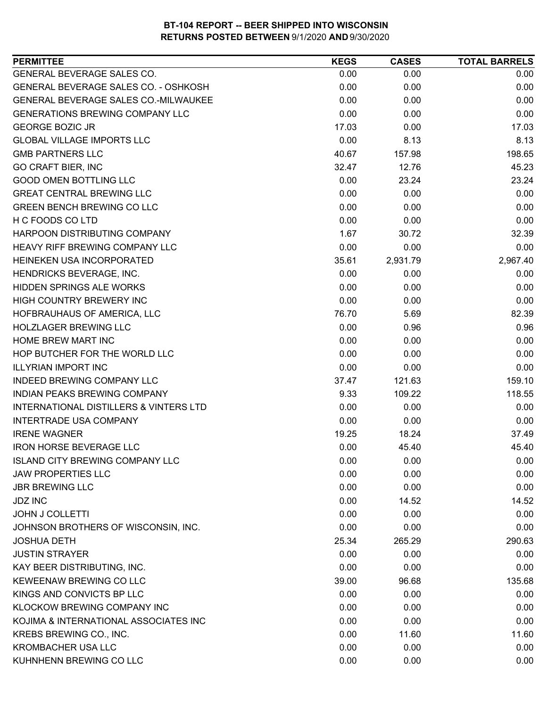| GENERAL BEVERAGE SALES CO.<br>0.00<br>0.00<br>0.00<br>GENERAL BEVERAGE SALES CO. - OSHKOSH<br>0.00<br>0.00<br>0.00<br><b>GENERAL BEVERAGE SALES CO.-MILWAUKEE</b><br>0.00<br>0.00<br>0.00<br><b>GENERATIONS BREWING COMPANY LLC</b><br>0.00<br>0.00<br>0.00<br>17.03<br>17.03<br><b>GEORGE BOZIC JR</b><br>0.00<br><b>GLOBAL VILLAGE IMPORTS LLC</b><br>0.00<br>8.13<br>8.13<br><b>GMB PARTNERS LLC</b><br>198.65<br>40.67<br>157.98<br><b>GO CRAFT BIER, INC</b><br>45.23<br>32.47<br>12.76<br>23.24<br><b>GOOD OMEN BOTTLING LLC</b><br>0.00<br>23.24<br><b>GREAT CENTRAL BREWING LLC</b><br>0.00<br>0.00<br>0.00<br><b>GREEN BENCH BREWING CO LLC</b><br>0.00<br>0.00<br>0.00<br>H C FOODS CO LTD<br>0.00<br>0.00<br>0.00<br>1.67<br>HARPOON DISTRIBUTING COMPANY<br>32.39<br>30.72<br><b>HEAVY RIFF BREWING COMPANY LLC</b><br>0.00<br>0.00<br>0.00<br>HEINEKEN USA INCORPORATED<br>2,967.40<br>35.61<br>2,931.79<br>HENDRICKS BEVERAGE, INC.<br>0.00<br>0.00<br>0.00<br>0.00<br><b>HIDDEN SPRINGS ALE WORKS</b><br>0.00<br>0.00<br>HIGH COUNTRY BREWERY INC<br>0.00<br>0.00<br>0.00<br>HOFBRAUHAUS OF AMERICA, LLC<br>82.39<br>76.70<br>5.69<br><b>HOLZLAGER BREWING LLC</b><br>0.00<br>0.96<br>0.96<br>HOME BREW MART INC<br>0.00<br>0.00<br>0.00<br>HOP BUTCHER FOR THE WORLD LLC<br>0.00<br>0.00<br>0.00<br><b>ILLYRIAN IMPORT INC</b><br>0.00<br>0.00<br>0.00<br><b>INDEED BREWING COMPANY LLC</b><br>159.10<br>37.47<br>121.63<br>118.55<br>109.22<br>INDIAN PEAKS BREWING COMPANY<br>9.33<br><b>INTERNATIONAL DISTILLERS &amp; VINTERS LTD</b><br>0.00<br>0.00<br>0.00<br><b>INTERTRADE USA COMPANY</b><br>0.00<br>0.00<br>0.00<br>19.25<br>37.49<br><b>IRENE WAGNER</b><br>18.24<br><b>IRON HORSE BEVERAGE LLC</b><br>0.00<br>45.40<br>45.40<br><b>ISLAND CITY BREWING COMPANY LLC</b><br>0.00<br>0.00<br>0.00<br><b>JAW PROPERTIES LLC</b><br>0.00<br>0.00<br>0.00<br><b>JBR BREWING LLC</b><br>0.00<br>0.00<br>0.00<br>0.00<br><b>JDZ INC</b><br>14.52<br>14.52<br><b>JOHN J COLLETTI</b><br>0.00<br>0.00<br>0.00<br>0.00<br>0.00<br>JOHNSON BROTHERS OF WISCONSIN, INC.<br>0.00<br><b>JOSHUA DETH</b><br>25.34<br>265.29<br>290.63<br><b>JUSTIN STRAYER</b><br>0.00<br>0.00<br>0.00<br>KAY BEER DISTRIBUTING, INC.<br>0.00<br>0.00<br>0.00<br>KEWEENAW BREWING CO LLC<br>135.68<br>39.00<br>96.68<br>KINGS AND CONVICTS BP LLC<br>0.00<br>0.00<br>0.00<br>KLOCKOW BREWING COMPANY INC<br>0.00<br>0.00<br>0.00<br>KOJIMA & INTERNATIONAL ASSOCIATES INC<br>0.00<br>0.00<br>0.00<br>0.00<br>KREBS BREWING CO., INC.<br>11.60<br>11.60<br><b>KROMBACHER USA LLC</b><br>0.00<br>0.00<br>0.00<br>KUHNHENN BREWING CO LLC<br>0.00<br>0.00<br>0.00 | <b>PERMITTEE</b> | <b>KEGS</b> | <b>CASES</b> | <b>TOTAL BARRELS</b> |
|------------------------------------------------------------------------------------------------------------------------------------------------------------------------------------------------------------------------------------------------------------------------------------------------------------------------------------------------------------------------------------------------------------------------------------------------------------------------------------------------------------------------------------------------------------------------------------------------------------------------------------------------------------------------------------------------------------------------------------------------------------------------------------------------------------------------------------------------------------------------------------------------------------------------------------------------------------------------------------------------------------------------------------------------------------------------------------------------------------------------------------------------------------------------------------------------------------------------------------------------------------------------------------------------------------------------------------------------------------------------------------------------------------------------------------------------------------------------------------------------------------------------------------------------------------------------------------------------------------------------------------------------------------------------------------------------------------------------------------------------------------------------------------------------------------------------------------------------------------------------------------------------------------------------------------------------------------------------------------------------------------------------------------------------------------------------------------------------------------------------------------------------------------------------------------------------------------------------------------------------------------------------------------------------------------------------------------------------------------------------------------------------------------------------------------------------------------------------------------------------------------------------------------------------------------------------------------------------------------------------------------------------------------|------------------|-------------|--------------|----------------------|
|                                                                                                                                                                                                                                                                                                                                                                                                                                                                                                                                                                                                                                                                                                                                                                                                                                                                                                                                                                                                                                                                                                                                                                                                                                                                                                                                                                                                                                                                                                                                                                                                                                                                                                                                                                                                                                                                                                                                                                                                                                                                                                                                                                                                                                                                                                                                                                                                                                                                                                                                                                                                                                                            |                  |             |              |                      |
|                                                                                                                                                                                                                                                                                                                                                                                                                                                                                                                                                                                                                                                                                                                                                                                                                                                                                                                                                                                                                                                                                                                                                                                                                                                                                                                                                                                                                                                                                                                                                                                                                                                                                                                                                                                                                                                                                                                                                                                                                                                                                                                                                                                                                                                                                                                                                                                                                                                                                                                                                                                                                                                            |                  |             |              |                      |
|                                                                                                                                                                                                                                                                                                                                                                                                                                                                                                                                                                                                                                                                                                                                                                                                                                                                                                                                                                                                                                                                                                                                                                                                                                                                                                                                                                                                                                                                                                                                                                                                                                                                                                                                                                                                                                                                                                                                                                                                                                                                                                                                                                                                                                                                                                                                                                                                                                                                                                                                                                                                                                                            |                  |             |              |                      |
|                                                                                                                                                                                                                                                                                                                                                                                                                                                                                                                                                                                                                                                                                                                                                                                                                                                                                                                                                                                                                                                                                                                                                                                                                                                                                                                                                                                                                                                                                                                                                                                                                                                                                                                                                                                                                                                                                                                                                                                                                                                                                                                                                                                                                                                                                                                                                                                                                                                                                                                                                                                                                                                            |                  |             |              |                      |
|                                                                                                                                                                                                                                                                                                                                                                                                                                                                                                                                                                                                                                                                                                                                                                                                                                                                                                                                                                                                                                                                                                                                                                                                                                                                                                                                                                                                                                                                                                                                                                                                                                                                                                                                                                                                                                                                                                                                                                                                                                                                                                                                                                                                                                                                                                                                                                                                                                                                                                                                                                                                                                                            |                  |             |              |                      |
|                                                                                                                                                                                                                                                                                                                                                                                                                                                                                                                                                                                                                                                                                                                                                                                                                                                                                                                                                                                                                                                                                                                                                                                                                                                                                                                                                                                                                                                                                                                                                                                                                                                                                                                                                                                                                                                                                                                                                                                                                                                                                                                                                                                                                                                                                                                                                                                                                                                                                                                                                                                                                                                            |                  |             |              |                      |
|                                                                                                                                                                                                                                                                                                                                                                                                                                                                                                                                                                                                                                                                                                                                                                                                                                                                                                                                                                                                                                                                                                                                                                                                                                                                                                                                                                                                                                                                                                                                                                                                                                                                                                                                                                                                                                                                                                                                                                                                                                                                                                                                                                                                                                                                                                                                                                                                                                                                                                                                                                                                                                                            |                  |             |              |                      |
|                                                                                                                                                                                                                                                                                                                                                                                                                                                                                                                                                                                                                                                                                                                                                                                                                                                                                                                                                                                                                                                                                                                                                                                                                                                                                                                                                                                                                                                                                                                                                                                                                                                                                                                                                                                                                                                                                                                                                                                                                                                                                                                                                                                                                                                                                                                                                                                                                                                                                                                                                                                                                                                            |                  |             |              |                      |
|                                                                                                                                                                                                                                                                                                                                                                                                                                                                                                                                                                                                                                                                                                                                                                                                                                                                                                                                                                                                                                                                                                                                                                                                                                                                                                                                                                                                                                                                                                                                                                                                                                                                                                                                                                                                                                                                                                                                                                                                                                                                                                                                                                                                                                                                                                                                                                                                                                                                                                                                                                                                                                                            |                  |             |              |                      |
|                                                                                                                                                                                                                                                                                                                                                                                                                                                                                                                                                                                                                                                                                                                                                                                                                                                                                                                                                                                                                                                                                                                                                                                                                                                                                                                                                                                                                                                                                                                                                                                                                                                                                                                                                                                                                                                                                                                                                                                                                                                                                                                                                                                                                                                                                                                                                                                                                                                                                                                                                                                                                                                            |                  |             |              |                      |
|                                                                                                                                                                                                                                                                                                                                                                                                                                                                                                                                                                                                                                                                                                                                                                                                                                                                                                                                                                                                                                                                                                                                                                                                                                                                                                                                                                                                                                                                                                                                                                                                                                                                                                                                                                                                                                                                                                                                                                                                                                                                                                                                                                                                                                                                                                                                                                                                                                                                                                                                                                                                                                                            |                  |             |              |                      |
|                                                                                                                                                                                                                                                                                                                                                                                                                                                                                                                                                                                                                                                                                                                                                                                                                                                                                                                                                                                                                                                                                                                                                                                                                                                                                                                                                                                                                                                                                                                                                                                                                                                                                                                                                                                                                                                                                                                                                                                                                                                                                                                                                                                                                                                                                                                                                                                                                                                                                                                                                                                                                                                            |                  |             |              |                      |
|                                                                                                                                                                                                                                                                                                                                                                                                                                                                                                                                                                                                                                                                                                                                                                                                                                                                                                                                                                                                                                                                                                                                                                                                                                                                                                                                                                                                                                                                                                                                                                                                                                                                                                                                                                                                                                                                                                                                                                                                                                                                                                                                                                                                                                                                                                                                                                                                                                                                                                                                                                                                                                                            |                  |             |              |                      |
|                                                                                                                                                                                                                                                                                                                                                                                                                                                                                                                                                                                                                                                                                                                                                                                                                                                                                                                                                                                                                                                                                                                                                                                                                                                                                                                                                                                                                                                                                                                                                                                                                                                                                                                                                                                                                                                                                                                                                                                                                                                                                                                                                                                                                                                                                                                                                                                                                                                                                                                                                                                                                                                            |                  |             |              |                      |
|                                                                                                                                                                                                                                                                                                                                                                                                                                                                                                                                                                                                                                                                                                                                                                                                                                                                                                                                                                                                                                                                                                                                                                                                                                                                                                                                                                                                                                                                                                                                                                                                                                                                                                                                                                                                                                                                                                                                                                                                                                                                                                                                                                                                                                                                                                                                                                                                                                                                                                                                                                                                                                                            |                  |             |              |                      |
|                                                                                                                                                                                                                                                                                                                                                                                                                                                                                                                                                                                                                                                                                                                                                                                                                                                                                                                                                                                                                                                                                                                                                                                                                                                                                                                                                                                                                                                                                                                                                                                                                                                                                                                                                                                                                                                                                                                                                                                                                                                                                                                                                                                                                                                                                                                                                                                                                                                                                                                                                                                                                                                            |                  |             |              |                      |
|                                                                                                                                                                                                                                                                                                                                                                                                                                                                                                                                                                                                                                                                                                                                                                                                                                                                                                                                                                                                                                                                                                                                                                                                                                                                                                                                                                                                                                                                                                                                                                                                                                                                                                                                                                                                                                                                                                                                                                                                                                                                                                                                                                                                                                                                                                                                                                                                                                                                                                                                                                                                                                                            |                  |             |              |                      |
|                                                                                                                                                                                                                                                                                                                                                                                                                                                                                                                                                                                                                                                                                                                                                                                                                                                                                                                                                                                                                                                                                                                                                                                                                                                                                                                                                                                                                                                                                                                                                                                                                                                                                                                                                                                                                                                                                                                                                                                                                                                                                                                                                                                                                                                                                                                                                                                                                                                                                                                                                                                                                                                            |                  |             |              |                      |
|                                                                                                                                                                                                                                                                                                                                                                                                                                                                                                                                                                                                                                                                                                                                                                                                                                                                                                                                                                                                                                                                                                                                                                                                                                                                                                                                                                                                                                                                                                                                                                                                                                                                                                                                                                                                                                                                                                                                                                                                                                                                                                                                                                                                                                                                                                                                                                                                                                                                                                                                                                                                                                                            |                  |             |              |                      |
|                                                                                                                                                                                                                                                                                                                                                                                                                                                                                                                                                                                                                                                                                                                                                                                                                                                                                                                                                                                                                                                                                                                                                                                                                                                                                                                                                                                                                                                                                                                                                                                                                                                                                                                                                                                                                                                                                                                                                                                                                                                                                                                                                                                                                                                                                                                                                                                                                                                                                                                                                                                                                                                            |                  |             |              |                      |
|                                                                                                                                                                                                                                                                                                                                                                                                                                                                                                                                                                                                                                                                                                                                                                                                                                                                                                                                                                                                                                                                                                                                                                                                                                                                                                                                                                                                                                                                                                                                                                                                                                                                                                                                                                                                                                                                                                                                                                                                                                                                                                                                                                                                                                                                                                                                                                                                                                                                                                                                                                                                                                                            |                  |             |              |                      |
|                                                                                                                                                                                                                                                                                                                                                                                                                                                                                                                                                                                                                                                                                                                                                                                                                                                                                                                                                                                                                                                                                                                                                                                                                                                                                                                                                                                                                                                                                                                                                                                                                                                                                                                                                                                                                                                                                                                                                                                                                                                                                                                                                                                                                                                                                                                                                                                                                                                                                                                                                                                                                                                            |                  |             |              |                      |
|                                                                                                                                                                                                                                                                                                                                                                                                                                                                                                                                                                                                                                                                                                                                                                                                                                                                                                                                                                                                                                                                                                                                                                                                                                                                                                                                                                                                                                                                                                                                                                                                                                                                                                                                                                                                                                                                                                                                                                                                                                                                                                                                                                                                                                                                                                                                                                                                                                                                                                                                                                                                                                                            |                  |             |              |                      |
|                                                                                                                                                                                                                                                                                                                                                                                                                                                                                                                                                                                                                                                                                                                                                                                                                                                                                                                                                                                                                                                                                                                                                                                                                                                                                                                                                                                                                                                                                                                                                                                                                                                                                                                                                                                                                                                                                                                                                                                                                                                                                                                                                                                                                                                                                                                                                                                                                                                                                                                                                                                                                                                            |                  |             |              |                      |
|                                                                                                                                                                                                                                                                                                                                                                                                                                                                                                                                                                                                                                                                                                                                                                                                                                                                                                                                                                                                                                                                                                                                                                                                                                                                                                                                                                                                                                                                                                                                                                                                                                                                                                                                                                                                                                                                                                                                                                                                                                                                                                                                                                                                                                                                                                                                                                                                                                                                                                                                                                                                                                                            |                  |             |              |                      |
|                                                                                                                                                                                                                                                                                                                                                                                                                                                                                                                                                                                                                                                                                                                                                                                                                                                                                                                                                                                                                                                                                                                                                                                                                                                                                                                                                                                                                                                                                                                                                                                                                                                                                                                                                                                                                                                                                                                                                                                                                                                                                                                                                                                                                                                                                                                                                                                                                                                                                                                                                                                                                                                            |                  |             |              |                      |
|                                                                                                                                                                                                                                                                                                                                                                                                                                                                                                                                                                                                                                                                                                                                                                                                                                                                                                                                                                                                                                                                                                                                                                                                                                                                                                                                                                                                                                                                                                                                                                                                                                                                                                                                                                                                                                                                                                                                                                                                                                                                                                                                                                                                                                                                                                                                                                                                                                                                                                                                                                                                                                                            |                  |             |              |                      |
|                                                                                                                                                                                                                                                                                                                                                                                                                                                                                                                                                                                                                                                                                                                                                                                                                                                                                                                                                                                                                                                                                                                                                                                                                                                                                                                                                                                                                                                                                                                                                                                                                                                                                                                                                                                                                                                                                                                                                                                                                                                                                                                                                                                                                                                                                                                                                                                                                                                                                                                                                                                                                                                            |                  |             |              |                      |
|                                                                                                                                                                                                                                                                                                                                                                                                                                                                                                                                                                                                                                                                                                                                                                                                                                                                                                                                                                                                                                                                                                                                                                                                                                                                                                                                                                                                                                                                                                                                                                                                                                                                                                                                                                                                                                                                                                                                                                                                                                                                                                                                                                                                                                                                                                                                                                                                                                                                                                                                                                                                                                                            |                  |             |              |                      |
|                                                                                                                                                                                                                                                                                                                                                                                                                                                                                                                                                                                                                                                                                                                                                                                                                                                                                                                                                                                                                                                                                                                                                                                                                                                                                                                                                                                                                                                                                                                                                                                                                                                                                                                                                                                                                                                                                                                                                                                                                                                                                                                                                                                                                                                                                                                                                                                                                                                                                                                                                                                                                                                            |                  |             |              |                      |
|                                                                                                                                                                                                                                                                                                                                                                                                                                                                                                                                                                                                                                                                                                                                                                                                                                                                                                                                                                                                                                                                                                                                                                                                                                                                                                                                                                                                                                                                                                                                                                                                                                                                                                                                                                                                                                                                                                                                                                                                                                                                                                                                                                                                                                                                                                                                                                                                                                                                                                                                                                                                                                                            |                  |             |              |                      |
|                                                                                                                                                                                                                                                                                                                                                                                                                                                                                                                                                                                                                                                                                                                                                                                                                                                                                                                                                                                                                                                                                                                                                                                                                                                                                                                                                                                                                                                                                                                                                                                                                                                                                                                                                                                                                                                                                                                                                                                                                                                                                                                                                                                                                                                                                                                                                                                                                                                                                                                                                                                                                                                            |                  |             |              |                      |
|                                                                                                                                                                                                                                                                                                                                                                                                                                                                                                                                                                                                                                                                                                                                                                                                                                                                                                                                                                                                                                                                                                                                                                                                                                                                                                                                                                                                                                                                                                                                                                                                                                                                                                                                                                                                                                                                                                                                                                                                                                                                                                                                                                                                                                                                                                                                                                                                                                                                                                                                                                                                                                                            |                  |             |              |                      |
|                                                                                                                                                                                                                                                                                                                                                                                                                                                                                                                                                                                                                                                                                                                                                                                                                                                                                                                                                                                                                                                                                                                                                                                                                                                                                                                                                                                                                                                                                                                                                                                                                                                                                                                                                                                                                                                                                                                                                                                                                                                                                                                                                                                                                                                                                                                                                                                                                                                                                                                                                                                                                                                            |                  |             |              |                      |
|                                                                                                                                                                                                                                                                                                                                                                                                                                                                                                                                                                                                                                                                                                                                                                                                                                                                                                                                                                                                                                                                                                                                                                                                                                                                                                                                                                                                                                                                                                                                                                                                                                                                                                                                                                                                                                                                                                                                                                                                                                                                                                                                                                                                                                                                                                                                                                                                                                                                                                                                                                                                                                                            |                  |             |              |                      |
|                                                                                                                                                                                                                                                                                                                                                                                                                                                                                                                                                                                                                                                                                                                                                                                                                                                                                                                                                                                                                                                                                                                                                                                                                                                                                                                                                                                                                                                                                                                                                                                                                                                                                                                                                                                                                                                                                                                                                                                                                                                                                                                                                                                                                                                                                                                                                                                                                                                                                                                                                                                                                                                            |                  |             |              |                      |
|                                                                                                                                                                                                                                                                                                                                                                                                                                                                                                                                                                                                                                                                                                                                                                                                                                                                                                                                                                                                                                                                                                                                                                                                                                                                                                                                                                                                                                                                                                                                                                                                                                                                                                                                                                                                                                                                                                                                                                                                                                                                                                                                                                                                                                                                                                                                                                                                                                                                                                                                                                                                                                                            |                  |             |              |                      |
|                                                                                                                                                                                                                                                                                                                                                                                                                                                                                                                                                                                                                                                                                                                                                                                                                                                                                                                                                                                                                                                                                                                                                                                                                                                                                                                                                                                                                                                                                                                                                                                                                                                                                                                                                                                                                                                                                                                                                                                                                                                                                                                                                                                                                                                                                                                                                                                                                                                                                                                                                                                                                                                            |                  |             |              |                      |
|                                                                                                                                                                                                                                                                                                                                                                                                                                                                                                                                                                                                                                                                                                                                                                                                                                                                                                                                                                                                                                                                                                                                                                                                                                                                                                                                                                                                                                                                                                                                                                                                                                                                                                                                                                                                                                                                                                                                                                                                                                                                                                                                                                                                                                                                                                                                                                                                                                                                                                                                                                                                                                                            |                  |             |              |                      |
|                                                                                                                                                                                                                                                                                                                                                                                                                                                                                                                                                                                                                                                                                                                                                                                                                                                                                                                                                                                                                                                                                                                                                                                                                                                                                                                                                                                                                                                                                                                                                                                                                                                                                                                                                                                                                                                                                                                                                                                                                                                                                                                                                                                                                                                                                                                                                                                                                                                                                                                                                                                                                                                            |                  |             |              |                      |
|                                                                                                                                                                                                                                                                                                                                                                                                                                                                                                                                                                                                                                                                                                                                                                                                                                                                                                                                                                                                                                                                                                                                                                                                                                                                                                                                                                                                                                                                                                                                                                                                                                                                                                                                                                                                                                                                                                                                                                                                                                                                                                                                                                                                                                                                                                                                                                                                                                                                                                                                                                                                                                                            |                  |             |              |                      |
|                                                                                                                                                                                                                                                                                                                                                                                                                                                                                                                                                                                                                                                                                                                                                                                                                                                                                                                                                                                                                                                                                                                                                                                                                                                                                                                                                                                                                                                                                                                                                                                                                                                                                                                                                                                                                                                                                                                                                                                                                                                                                                                                                                                                                                                                                                                                                                                                                                                                                                                                                                                                                                                            |                  |             |              |                      |
|                                                                                                                                                                                                                                                                                                                                                                                                                                                                                                                                                                                                                                                                                                                                                                                                                                                                                                                                                                                                                                                                                                                                                                                                                                                                                                                                                                                                                                                                                                                                                                                                                                                                                                                                                                                                                                                                                                                                                                                                                                                                                                                                                                                                                                                                                                                                                                                                                                                                                                                                                                                                                                                            |                  |             |              |                      |
|                                                                                                                                                                                                                                                                                                                                                                                                                                                                                                                                                                                                                                                                                                                                                                                                                                                                                                                                                                                                                                                                                                                                                                                                                                                                                                                                                                                                                                                                                                                                                                                                                                                                                                                                                                                                                                                                                                                                                                                                                                                                                                                                                                                                                                                                                                                                                                                                                                                                                                                                                                                                                                                            |                  |             |              |                      |
|                                                                                                                                                                                                                                                                                                                                                                                                                                                                                                                                                                                                                                                                                                                                                                                                                                                                                                                                                                                                                                                                                                                                                                                                                                                                                                                                                                                                                                                                                                                                                                                                                                                                                                                                                                                                                                                                                                                                                                                                                                                                                                                                                                                                                                                                                                                                                                                                                                                                                                                                                                                                                                                            |                  |             |              |                      |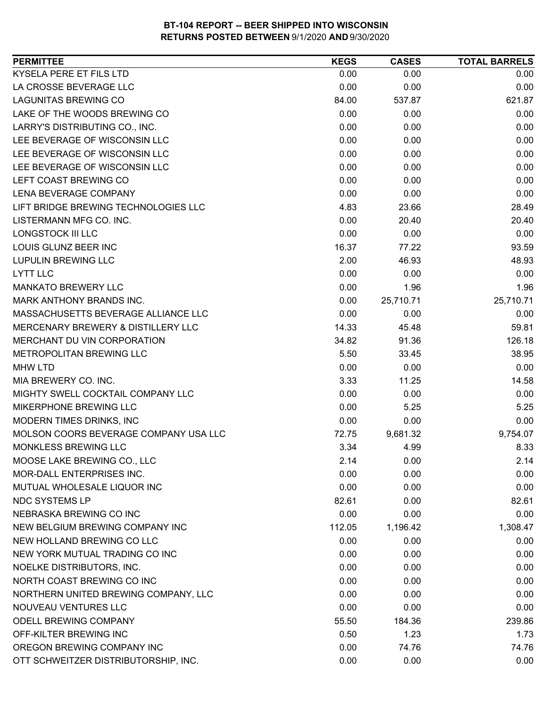| KYSELA PERE ET FILS LTD<br>0.00<br>0.00<br>0.00<br>LA CROSSE BEVERAGE LLC<br>0.00<br>0.00<br>0.00<br><b>LAGUNITAS BREWING CO</b><br>621.87<br>84.00<br>537.87<br>LAKE OF THE WOODS BREWING CO<br>0.00<br>0.00<br>0.00<br>LARRY'S DISTRIBUTING CO., INC.<br>0.00<br>0.00<br>0.00<br>LEE BEVERAGE OF WISCONSIN LLC<br>0.00<br>0.00<br>0.00<br>LEE BEVERAGE OF WISCONSIN LLC<br>0.00<br>0.00<br>0.00<br>LEE BEVERAGE OF WISCONSIN LLC<br>0.00<br>0.00<br>0.00<br>0.00<br>LEFT COAST BREWING CO<br>0.00<br>0.00<br><b>LENA BEVERAGE COMPANY</b><br>0.00<br>0.00<br>0.00<br>LIFT BRIDGE BREWING TECHNOLOGIES LLC<br>4.83<br>28.49<br>23.66<br>LISTERMANN MFG CO. INC.<br>0.00<br>20.40<br>20.40<br>0.00<br><b>LONGSTOCK III LLC</b><br>0.00<br>0.00<br>LOUIS GLUNZ BEER INC<br>16.37<br>77.22<br>93.59<br><b>LUPULIN BREWING LLC</b><br>2.00<br>48.93<br>46.93<br><b>LYTT LLC</b><br>0.00<br>0.00<br>0.00<br><b>MANKATO BREWERY LLC</b><br>0.00<br>1.96<br>1.96<br>MARK ANTHONY BRANDS INC.<br>0.00<br>25,710.71<br>25,710.71<br>MASSACHUSETTS BEVERAGE ALLIANCE LLC<br>0.00<br>0.00<br>0.00<br>MERCENARY BREWERY & DISTILLERY LLC<br>59.81<br>14.33<br>45.48<br>126.18<br>MERCHANT DU VIN CORPORATION<br>34.82<br>91.36<br>METROPOLITAN BREWING LLC<br>38.95<br>5.50<br>33.45<br><b>MHW LTD</b><br>0.00<br>0.00<br>0.00<br>MIA BREWERY CO. INC.<br>14.58<br>3.33<br>11.25<br>MIGHTY SWELL COCKTAIL COMPANY LLC<br>0.00<br>0.00<br>0.00<br>MIKERPHONE BREWING LLC<br>5.25<br>0.00<br>5.25<br>MODERN TIMES DRINKS, INC<br>0.00<br>0.00<br>0.00<br>MOLSON COORS BEVERAGE COMPANY USA LLC<br>72.75<br>9,681.32<br>9,754.07<br>MONKLESS BREWING LLC<br>3.34<br>4.99<br>8.33<br>MOOSE LAKE BREWING CO., LLC<br>2.14<br>0.00<br>2.14<br>0.00<br>MOR-DALL ENTERPRISES INC.<br>0.00<br>0.00<br>MUTUAL WHOLESALE LIQUOR INC<br>0.00<br>0.00<br>0.00<br><b>NDC SYSTEMS LP</b><br>82.61<br>82.61<br>0.00<br>NEBRASKA BREWING CO INC<br>0.00<br>0.00<br>0.00<br>NEW BELGIUM BREWING COMPANY INC<br>1,196.42<br>1,308.47<br>112.05<br>NEW HOLLAND BREWING CO LLC<br>0.00<br>0.00<br>0.00<br>NEW YORK MUTUAL TRADING CO INC<br>0.00<br>0.00<br>0.00<br>NOELKE DISTRIBUTORS, INC.<br>0.00<br>0.00<br>0.00<br>NORTH COAST BREWING CO INC<br>0.00<br>0.00<br>0.00<br>0.00<br>NORTHERN UNITED BREWING COMPANY, LLC<br>0.00<br>0.00<br>NOUVEAU VENTURES LLC<br>0.00<br>0.00<br>0.00<br>ODELL BREWING COMPANY<br>55.50<br>184.36<br>239.86<br>OFF-KILTER BREWING INC<br>0.50<br>1.23<br>OREGON BREWING COMPANY INC<br>74.76<br>0.00<br>74.76<br>OTT SCHWEITZER DISTRIBUTORSHIP, INC.<br>0.00<br>0.00<br>0.00 | <b>PERMITTEE</b> | <b>KEGS</b> | <b>CASES</b> | <b>TOTAL BARRELS</b> |
|-------------------------------------------------------------------------------------------------------------------------------------------------------------------------------------------------------------------------------------------------------------------------------------------------------------------------------------------------------------------------------------------------------------------------------------------------------------------------------------------------------------------------------------------------------------------------------------------------------------------------------------------------------------------------------------------------------------------------------------------------------------------------------------------------------------------------------------------------------------------------------------------------------------------------------------------------------------------------------------------------------------------------------------------------------------------------------------------------------------------------------------------------------------------------------------------------------------------------------------------------------------------------------------------------------------------------------------------------------------------------------------------------------------------------------------------------------------------------------------------------------------------------------------------------------------------------------------------------------------------------------------------------------------------------------------------------------------------------------------------------------------------------------------------------------------------------------------------------------------------------------------------------------------------------------------------------------------------------------------------------------------------------------------------------------------------------------------------------------------------------------------------------------------------------------------------------------------------------------------------------------------------------------------------------------------------------------------------------------------------------------------------------------------------------------------------------------------------------------------------------------------------------------------------------------------------------------------|------------------|-------------|--------------|----------------------|
|                                                                                                                                                                                                                                                                                                                                                                                                                                                                                                                                                                                                                                                                                                                                                                                                                                                                                                                                                                                                                                                                                                                                                                                                                                                                                                                                                                                                                                                                                                                                                                                                                                                                                                                                                                                                                                                                                                                                                                                                                                                                                                                                                                                                                                                                                                                                                                                                                                                                                                                                                                                     |                  |             |              |                      |
| 1.73                                                                                                                                                                                                                                                                                                                                                                                                                                                                                                                                                                                                                                                                                                                                                                                                                                                                                                                                                                                                                                                                                                                                                                                                                                                                                                                                                                                                                                                                                                                                                                                                                                                                                                                                                                                                                                                                                                                                                                                                                                                                                                                                                                                                                                                                                                                                                                                                                                                                                                                                                                                |                  |             |              |                      |
|                                                                                                                                                                                                                                                                                                                                                                                                                                                                                                                                                                                                                                                                                                                                                                                                                                                                                                                                                                                                                                                                                                                                                                                                                                                                                                                                                                                                                                                                                                                                                                                                                                                                                                                                                                                                                                                                                                                                                                                                                                                                                                                                                                                                                                                                                                                                                                                                                                                                                                                                                                                     |                  |             |              |                      |
|                                                                                                                                                                                                                                                                                                                                                                                                                                                                                                                                                                                                                                                                                                                                                                                                                                                                                                                                                                                                                                                                                                                                                                                                                                                                                                                                                                                                                                                                                                                                                                                                                                                                                                                                                                                                                                                                                                                                                                                                                                                                                                                                                                                                                                                                                                                                                                                                                                                                                                                                                                                     |                  |             |              |                      |
|                                                                                                                                                                                                                                                                                                                                                                                                                                                                                                                                                                                                                                                                                                                                                                                                                                                                                                                                                                                                                                                                                                                                                                                                                                                                                                                                                                                                                                                                                                                                                                                                                                                                                                                                                                                                                                                                                                                                                                                                                                                                                                                                                                                                                                                                                                                                                                                                                                                                                                                                                                                     |                  |             |              |                      |
|                                                                                                                                                                                                                                                                                                                                                                                                                                                                                                                                                                                                                                                                                                                                                                                                                                                                                                                                                                                                                                                                                                                                                                                                                                                                                                                                                                                                                                                                                                                                                                                                                                                                                                                                                                                                                                                                                                                                                                                                                                                                                                                                                                                                                                                                                                                                                                                                                                                                                                                                                                                     |                  |             |              |                      |
|                                                                                                                                                                                                                                                                                                                                                                                                                                                                                                                                                                                                                                                                                                                                                                                                                                                                                                                                                                                                                                                                                                                                                                                                                                                                                                                                                                                                                                                                                                                                                                                                                                                                                                                                                                                                                                                                                                                                                                                                                                                                                                                                                                                                                                                                                                                                                                                                                                                                                                                                                                                     |                  |             |              |                      |
|                                                                                                                                                                                                                                                                                                                                                                                                                                                                                                                                                                                                                                                                                                                                                                                                                                                                                                                                                                                                                                                                                                                                                                                                                                                                                                                                                                                                                                                                                                                                                                                                                                                                                                                                                                                                                                                                                                                                                                                                                                                                                                                                                                                                                                                                                                                                                                                                                                                                                                                                                                                     |                  |             |              |                      |
|                                                                                                                                                                                                                                                                                                                                                                                                                                                                                                                                                                                                                                                                                                                                                                                                                                                                                                                                                                                                                                                                                                                                                                                                                                                                                                                                                                                                                                                                                                                                                                                                                                                                                                                                                                                                                                                                                                                                                                                                                                                                                                                                                                                                                                                                                                                                                                                                                                                                                                                                                                                     |                  |             |              |                      |
|                                                                                                                                                                                                                                                                                                                                                                                                                                                                                                                                                                                                                                                                                                                                                                                                                                                                                                                                                                                                                                                                                                                                                                                                                                                                                                                                                                                                                                                                                                                                                                                                                                                                                                                                                                                                                                                                                                                                                                                                                                                                                                                                                                                                                                                                                                                                                                                                                                                                                                                                                                                     |                  |             |              |                      |
|                                                                                                                                                                                                                                                                                                                                                                                                                                                                                                                                                                                                                                                                                                                                                                                                                                                                                                                                                                                                                                                                                                                                                                                                                                                                                                                                                                                                                                                                                                                                                                                                                                                                                                                                                                                                                                                                                                                                                                                                                                                                                                                                                                                                                                                                                                                                                                                                                                                                                                                                                                                     |                  |             |              |                      |
|                                                                                                                                                                                                                                                                                                                                                                                                                                                                                                                                                                                                                                                                                                                                                                                                                                                                                                                                                                                                                                                                                                                                                                                                                                                                                                                                                                                                                                                                                                                                                                                                                                                                                                                                                                                                                                                                                                                                                                                                                                                                                                                                                                                                                                                                                                                                                                                                                                                                                                                                                                                     |                  |             |              |                      |
|                                                                                                                                                                                                                                                                                                                                                                                                                                                                                                                                                                                                                                                                                                                                                                                                                                                                                                                                                                                                                                                                                                                                                                                                                                                                                                                                                                                                                                                                                                                                                                                                                                                                                                                                                                                                                                                                                                                                                                                                                                                                                                                                                                                                                                                                                                                                                                                                                                                                                                                                                                                     |                  |             |              |                      |
|                                                                                                                                                                                                                                                                                                                                                                                                                                                                                                                                                                                                                                                                                                                                                                                                                                                                                                                                                                                                                                                                                                                                                                                                                                                                                                                                                                                                                                                                                                                                                                                                                                                                                                                                                                                                                                                                                                                                                                                                                                                                                                                                                                                                                                                                                                                                                                                                                                                                                                                                                                                     |                  |             |              |                      |
|                                                                                                                                                                                                                                                                                                                                                                                                                                                                                                                                                                                                                                                                                                                                                                                                                                                                                                                                                                                                                                                                                                                                                                                                                                                                                                                                                                                                                                                                                                                                                                                                                                                                                                                                                                                                                                                                                                                                                                                                                                                                                                                                                                                                                                                                                                                                                                                                                                                                                                                                                                                     |                  |             |              |                      |
|                                                                                                                                                                                                                                                                                                                                                                                                                                                                                                                                                                                                                                                                                                                                                                                                                                                                                                                                                                                                                                                                                                                                                                                                                                                                                                                                                                                                                                                                                                                                                                                                                                                                                                                                                                                                                                                                                                                                                                                                                                                                                                                                                                                                                                                                                                                                                                                                                                                                                                                                                                                     |                  |             |              |                      |
|                                                                                                                                                                                                                                                                                                                                                                                                                                                                                                                                                                                                                                                                                                                                                                                                                                                                                                                                                                                                                                                                                                                                                                                                                                                                                                                                                                                                                                                                                                                                                                                                                                                                                                                                                                                                                                                                                                                                                                                                                                                                                                                                                                                                                                                                                                                                                                                                                                                                                                                                                                                     |                  |             |              |                      |
|                                                                                                                                                                                                                                                                                                                                                                                                                                                                                                                                                                                                                                                                                                                                                                                                                                                                                                                                                                                                                                                                                                                                                                                                                                                                                                                                                                                                                                                                                                                                                                                                                                                                                                                                                                                                                                                                                                                                                                                                                                                                                                                                                                                                                                                                                                                                                                                                                                                                                                                                                                                     |                  |             |              |                      |
|                                                                                                                                                                                                                                                                                                                                                                                                                                                                                                                                                                                                                                                                                                                                                                                                                                                                                                                                                                                                                                                                                                                                                                                                                                                                                                                                                                                                                                                                                                                                                                                                                                                                                                                                                                                                                                                                                                                                                                                                                                                                                                                                                                                                                                                                                                                                                                                                                                                                                                                                                                                     |                  |             |              |                      |
|                                                                                                                                                                                                                                                                                                                                                                                                                                                                                                                                                                                                                                                                                                                                                                                                                                                                                                                                                                                                                                                                                                                                                                                                                                                                                                                                                                                                                                                                                                                                                                                                                                                                                                                                                                                                                                                                                                                                                                                                                                                                                                                                                                                                                                                                                                                                                                                                                                                                                                                                                                                     |                  |             |              |                      |
|                                                                                                                                                                                                                                                                                                                                                                                                                                                                                                                                                                                                                                                                                                                                                                                                                                                                                                                                                                                                                                                                                                                                                                                                                                                                                                                                                                                                                                                                                                                                                                                                                                                                                                                                                                                                                                                                                                                                                                                                                                                                                                                                                                                                                                                                                                                                                                                                                                                                                                                                                                                     |                  |             |              |                      |
|                                                                                                                                                                                                                                                                                                                                                                                                                                                                                                                                                                                                                                                                                                                                                                                                                                                                                                                                                                                                                                                                                                                                                                                                                                                                                                                                                                                                                                                                                                                                                                                                                                                                                                                                                                                                                                                                                                                                                                                                                                                                                                                                                                                                                                                                                                                                                                                                                                                                                                                                                                                     |                  |             |              |                      |
|                                                                                                                                                                                                                                                                                                                                                                                                                                                                                                                                                                                                                                                                                                                                                                                                                                                                                                                                                                                                                                                                                                                                                                                                                                                                                                                                                                                                                                                                                                                                                                                                                                                                                                                                                                                                                                                                                                                                                                                                                                                                                                                                                                                                                                                                                                                                                                                                                                                                                                                                                                                     |                  |             |              |                      |
|                                                                                                                                                                                                                                                                                                                                                                                                                                                                                                                                                                                                                                                                                                                                                                                                                                                                                                                                                                                                                                                                                                                                                                                                                                                                                                                                                                                                                                                                                                                                                                                                                                                                                                                                                                                                                                                                                                                                                                                                                                                                                                                                                                                                                                                                                                                                                                                                                                                                                                                                                                                     |                  |             |              |                      |
|                                                                                                                                                                                                                                                                                                                                                                                                                                                                                                                                                                                                                                                                                                                                                                                                                                                                                                                                                                                                                                                                                                                                                                                                                                                                                                                                                                                                                                                                                                                                                                                                                                                                                                                                                                                                                                                                                                                                                                                                                                                                                                                                                                                                                                                                                                                                                                                                                                                                                                                                                                                     |                  |             |              |                      |
|                                                                                                                                                                                                                                                                                                                                                                                                                                                                                                                                                                                                                                                                                                                                                                                                                                                                                                                                                                                                                                                                                                                                                                                                                                                                                                                                                                                                                                                                                                                                                                                                                                                                                                                                                                                                                                                                                                                                                                                                                                                                                                                                                                                                                                                                                                                                                                                                                                                                                                                                                                                     |                  |             |              |                      |
|                                                                                                                                                                                                                                                                                                                                                                                                                                                                                                                                                                                                                                                                                                                                                                                                                                                                                                                                                                                                                                                                                                                                                                                                                                                                                                                                                                                                                                                                                                                                                                                                                                                                                                                                                                                                                                                                                                                                                                                                                                                                                                                                                                                                                                                                                                                                                                                                                                                                                                                                                                                     |                  |             |              |                      |
|                                                                                                                                                                                                                                                                                                                                                                                                                                                                                                                                                                                                                                                                                                                                                                                                                                                                                                                                                                                                                                                                                                                                                                                                                                                                                                                                                                                                                                                                                                                                                                                                                                                                                                                                                                                                                                                                                                                                                                                                                                                                                                                                                                                                                                                                                                                                                                                                                                                                                                                                                                                     |                  |             |              |                      |
|                                                                                                                                                                                                                                                                                                                                                                                                                                                                                                                                                                                                                                                                                                                                                                                                                                                                                                                                                                                                                                                                                                                                                                                                                                                                                                                                                                                                                                                                                                                                                                                                                                                                                                                                                                                                                                                                                                                                                                                                                                                                                                                                                                                                                                                                                                                                                                                                                                                                                                                                                                                     |                  |             |              |                      |
|                                                                                                                                                                                                                                                                                                                                                                                                                                                                                                                                                                                                                                                                                                                                                                                                                                                                                                                                                                                                                                                                                                                                                                                                                                                                                                                                                                                                                                                                                                                                                                                                                                                                                                                                                                                                                                                                                                                                                                                                                                                                                                                                                                                                                                                                                                                                                                                                                                                                                                                                                                                     |                  |             |              |                      |
|                                                                                                                                                                                                                                                                                                                                                                                                                                                                                                                                                                                                                                                                                                                                                                                                                                                                                                                                                                                                                                                                                                                                                                                                                                                                                                                                                                                                                                                                                                                                                                                                                                                                                                                                                                                                                                                                                                                                                                                                                                                                                                                                                                                                                                                                                                                                                                                                                                                                                                                                                                                     |                  |             |              |                      |
|                                                                                                                                                                                                                                                                                                                                                                                                                                                                                                                                                                                                                                                                                                                                                                                                                                                                                                                                                                                                                                                                                                                                                                                                                                                                                                                                                                                                                                                                                                                                                                                                                                                                                                                                                                                                                                                                                                                                                                                                                                                                                                                                                                                                                                                                                                                                                                                                                                                                                                                                                                                     |                  |             |              |                      |
|                                                                                                                                                                                                                                                                                                                                                                                                                                                                                                                                                                                                                                                                                                                                                                                                                                                                                                                                                                                                                                                                                                                                                                                                                                                                                                                                                                                                                                                                                                                                                                                                                                                                                                                                                                                                                                                                                                                                                                                                                                                                                                                                                                                                                                                                                                                                                                                                                                                                                                                                                                                     |                  |             |              |                      |
|                                                                                                                                                                                                                                                                                                                                                                                                                                                                                                                                                                                                                                                                                                                                                                                                                                                                                                                                                                                                                                                                                                                                                                                                                                                                                                                                                                                                                                                                                                                                                                                                                                                                                                                                                                                                                                                                                                                                                                                                                                                                                                                                                                                                                                                                                                                                                                                                                                                                                                                                                                                     |                  |             |              |                      |
|                                                                                                                                                                                                                                                                                                                                                                                                                                                                                                                                                                                                                                                                                                                                                                                                                                                                                                                                                                                                                                                                                                                                                                                                                                                                                                                                                                                                                                                                                                                                                                                                                                                                                                                                                                                                                                                                                                                                                                                                                                                                                                                                                                                                                                                                                                                                                                                                                                                                                                                                                                                     |                  |             |              |                      |
|                                                                                                                                                                                                                                                                                                                                                                                                                                                                                                                                                                                                                                                                                                                                                                                                                                                                                                                                                                                                                                                                                                                                                                                                                                                                                                                                                                                                                                                                                                                                                                                                                                                                                                                                                                                                                                                                                                                                                                                                                                                                                                                                                                                                                                                                                                                                                                                                                                                                                                                                                                                     |                  |             |              |                      |
|                                                                                                                                                                                                                                                                                                                                                                                                                                                                                                                                                                                                                                                                                                                                                                                                                                                                                                                                                                                                                                                                                                                                                                                                                                                                                                                                                                                                                                                                                                                                                                                                                                                                                                                                                                                                                                                                                                                                                                                                                                                                                                                                                                                                                                                                                                                                                                                                                                                                                                                                                                                     |                  |             |              |                      |
|                                                                                                                                                                                                                                                                                                                                                                                                                                                                                                                                                                                                                                                                                                                                                                                                                                                                                                                                                                                                                                                                                                                                                                                                                                                                                                                                                                                                                                                                                                                                                                                                                                                                                                                                                                                                                                                                                                                                                                                                                                                                                                                                                                                                                                                                                                                                                                                                                                                                                                                                                                                     |                  |             |              |                      |
|                                                                                                                                                                                                                                                                                                                                                                                                                                                                                                                                                                                                                                                                                                                                                                                                                                                                                                                                                                                                                                                                                                                                                                                                                                                                                                                                                                                                                                                                                                                                                                                                                                                                                                                                                                                                                                                                                                                                                                                                                                                                                                                                                                                                                                                                                                                                                                                                                                                                                                                                                                                     |                  |             |              |                      |
|                                                                                                                                                                                                                                                                                                                                                                                                                                                                                                                                                                                                                                                                                                                                                                                                                                                                                                                                                                                                                                                                                                                                                                                                                                                                                                                                                                                                                                                                                                                                                                                                                                                                                                                                                                                                                                                                                                                                                                                                                                                                                                                                                                                                                                                                                                                                                                                                                                                                                                                                                                                     |                  |             |              |                      |
|                                                                                                                                                                                                                                                                                                                                                                                                                                                                                                                                                                                                                                                                                                                                                                                                                                                                                                                                                                                                                                                                                                                                                                                                                                                                                                                                                                                                                                                                                                                                                                                                                                                                                                                                                                                                                                                                                                                                                                                                                                                                                                                                                                                                                                                                                                                                                                                                                                                                                                                                                                                     |                  |             |              |                      |
|                                                                                                                                                                                                                                                                                                                                                                                                                                                                                                                                                                                                                                                                                                                                                                                                                                                                                                                                                                                                                                                                                                                                                                                                                                                                                                                                                                                                                                                                                                                                                                                                                                                                                                                                                                                                                                                                                                                                                                                                                                                                                                                                                                                                                                                                                                                                                                                                                                                                                                                                                                                     |                  |             |              |                      |
|                                                                                                                                                                                                                                                                                                                                                                                                                                                                                                                                                                                                                                                                                                                                                                                                                                                                                                                                                                                                                                                                                                                                                                                                                                                                                                                                                                                                                                                                                                                                                                                                                                                                                                                                                                                                                                                                                                                                                                                                                                                                                                                                                                                                                                                                                                                                                                                                                                                                                                                                                                                     |                  |             |              |                      |
|                                                                                                                                                                                                                                                                                                                                                                                                                                                                                                                                                                                                                                                                                                                                                                                                                                                                                                                                                                                                                                                                                                                                                                                                                                                                                                                                                                                                                                                                                                                                                                                                                                                                                                                                                                                                                                                                                                                                                                                                                                                                                                                                                                                                                                                                                                                                                                                                                                                                                                                                                                                     |                  |             |              |                      |
|                                                                                                                                                                                                                                                                                                                                                                                                                                                                                                                                                                                                                                                                                                                                                                                                                                                                                                                                                                                                                                                                                                                                                                                                                                                                                                                                                                                                                                                                                                                                                                                                                                                                                                                                                                                                                                                                                                                                                                                                                                                                                                                                                                                                                                                                                                                                                                                                                                                                                                                                                                                     |                  |             |              |                      |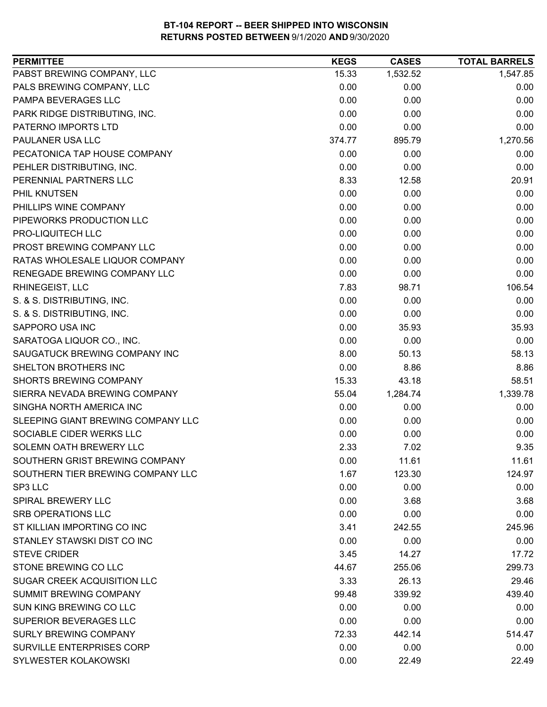| PABST BREWING COMPANY, LLC<br>1,532.52<br>1,547.85<br>15.33<br>PALS BREWING COMPANY, LLC<br>0.00<br>0.00<br>0.00<br>0.00<br>PAMPA BEVERAGES LLC<br>0.00<br>0.00<br>0.00<br>PARK RIDGE DISTRIBUTING, INC.<br>0.00<br>0.00<br>PATERNO IMPORTS LTD<br>0.00<br>0.00<br>0.00<br>PAULANER USA LLC<br>895.79<br>1,270.56<br>374.77<br>PECATONICA TAP HOUSE COMPANY<br>0.00<br>0.00<br>0.00<br>0.00<br>PEHLER DISTRIBUTING, INC.<br>0.00<br>0.00 |
|------------------------------------------------------------------------------------------------------------------------------------------------------------------------------------------------------------------------------------------------------------------------------------------------------------------------------------------------------------------------------------------------------------------------------------------|
|                                                                                                                                                                                                                                                                                                                                                                                                                                          |
|                                                                                                                                                                                                                                                                                                                                                                                                                                          |
|                                                                                                                                                                                                                                                                                                                                                                                                                                          |
|                                                                                                                                                                                                                                                                                                                                                                                                                                          |
|                                                                                                                                                                                                                                                                                                                                                                                                                                          |
|                                                                                                                                                                                                                                                                                                                                                                                                                                          |
|                                                                                                                                                                                                                                                                                                                                                                                                                                          |
|                                                                                                                                                                                                                                                                                                                                                                                                                                          |
| PERENNIAL PARTNERS LLC<br>8.33<br>12.58<br>20.91                                                                                                                                                                                                                                                                                                                                                                                         |
| PHIL KNUTSEN<br>0.00<br>0.00<br>0.00                                                                                                                                                                                                                                                                                                                                                                                                     |
| PHILLIPS WINE COMPANY<br>0.00<br>0.00<br>0.00                                                                                                                                                                                                                                                                                                                                                                                            |
| 0.00<br>0.00<br>0.00<br>PIPEWORKS PRODUCTION LLC                                                                                                                                                                                                                                                                                                                                                                                         |
| PRO-LIQUITECH LLC<br>0.00<br>0.00<br>0.00                                                                                                                                                                                                                                                                                                                                                                                                |
| PROST BREWING COMPANY LLC<br>0.00<br>0.00<br>0.00                                                                                                                                                                                                                                                                                                                                                                                        |
| RATAS WHOLESALE LIQUOR COMPANY<br>0.00<br>0.00<br>0.00                                                                                                                                                                                                                                                                                                                                                                                   |
| RENEGADE BREWING COMPANY LLC<br>0.00<br>0.00<br>0.00                                                                                                                                                                                                                                                                                                                                                                                     |
| 106.54<br>RHINEGEIST, LLC<br>7.83<br>98.71                                                                                                                                                                                                                                                                                                                                                                                               |
| S. & S. DISTRIBUTING, INC.<br>0.00<br>0.00<br>0.00                                                                                                                                                                                                                                                                                                                                                                                       |
| S. & S. DISTRIBUTING, INC.<br>0.00<br>0.00<br>0.00                                                                                                                                                                                                                                                                                                                                                                                       |
| SAPPORO USA INC<br>0.00<br>35.93<br>35.93                                                                                                                                                                                                                                                                                                                                                                                                |
| 0.00<br>SARATOGA LIQUOR CO., INC.<br>0.00<br>0.00                                                                                                                                                                                                                                                                                                                                                                                        |
| SAUGATUCK BREWING COMPANY INC<br>8.00<br>58.13<br>50.13                                                                                                                                                                                                                                                                                                                                                                                  |
| SHELTON BROTHERS INC<br>0.00<br>8.86<br>8.86                                                                                                                                                                                                                                                                                                                                                                                             |
| 58.51<br>15.33<br>43.18<br><b>SHORTS BREWING COMPANY</b>                                                                                                                                                                                                                                                                                                                                                                                 |
| 1,339.78<br>55.04<br>1,284.74<br>SIERRA NEVADA BREWING COMPANY                                                                                                                                                                                                                                                                                                                                                                           |
| SINGHA NORTH AMERICA INC<br>0.00<br>0.00<br>0.00                                                                                                                                                                                                                                                                                                                                                                                         |
| SLEEPING GIANT BREWING COMPANY LLC<br>0.00<br>0.00<br>0.00                                                                                                                                                                                                                                                                                                                                                                               |
| SOCIABLE CIDER WERKS LLC<br>0.00<br>0.00<br>0.00                                                                                                                                                                                                                                                                                                                                                                                         |
| SOLEMN OATH BREWERY LLC<br>2.33<br>7.02<br>9.35                                                                                                                                                                                                                                                                                                                                                                                          |
| SOUTHERN GRIST BREWING COMPANY<br>0.00<br>11.61<br>11.61                                                                                                                                                                                                                                                                                                                                                                                 |
| SOUTHERN TIER BREWING COMPANY LLC<br>1.67<br>123.30<br>124.97                                                                                                                                                                                                                                                                                                                                                                            |
| SP3 LLC<br>0.00<br>0.00<br>0.00                                                                                                                                                                                                                                                                                                                                                                                                          |
| <b>SPIRAL BREWERY LLC</b><br>0.00<br>3.68<br>3.68                                                                                                                                                                                                                                                                                                                                                                                        |
| SRB OPERATIONS LLC<br>0.00<br>0.00<br>0.00                                                                                                                                                                                                                                                                                                                                                                                               |
| ST KILLIAN IMPORTING CO INC<br>245.96<br>3.41<br>242.55                                                                                                                                                                                                                                                                                                                                                                                  |
| STANLEY STAWSKI DIST CO INC<br>0.00<br>0.00<br>0.00                                                                                                                                                                                                                                                                                                                                                                                      |
| <b>STEVE CRIDER</b><br>3.45<br>14.27<br>17.72                                                                                                                                                                                                                                                                                                                                                                                            |
| STONE BREWING CO LLC<br>44.67<br>255.06<br>299.73                                                                                                                                                                                                                                                                                                                                                                                        |
| SUGAR CREEK ACQUISITION LLC<br>26.13<br>29.46<br>3.33                                                                                                                                                                                                                                                                                                                                                                                    |
| <b>SUMMIT BREWING COMPANY</b><br>339.92<br>439.40<br>99.48                                                                                                                                                                                                                                                                                                                                                                               |
| SUN KING BREWING CO LLC<br>0.00<br>0.00<br>0.00                                                                                                                                                                                                                                                                                                                                                                                          |
| SUPERIOR BEVERAGES LLC<br>0.00<br>0.00<br>0.00                                                                                                                                                                                                                                                                                                                                                                                           |
| <b>SURLY BREWING COMPANY</b><br>72.33<br>442.14<br>514.47                                                                                                                                                                                                                                                                                                                                                                                |
| SURVILLE ENTERPRISES CORP<br>0.00<br>0.00<br>0.00                                                                                                                                                                                                                                                                                                                                                                                        |
| SYLWESTER KOLAKOWSKI<br>0.00<br>22.49<br>22.49                                                                                                                                                                                                                                                                                                                                                                                           |